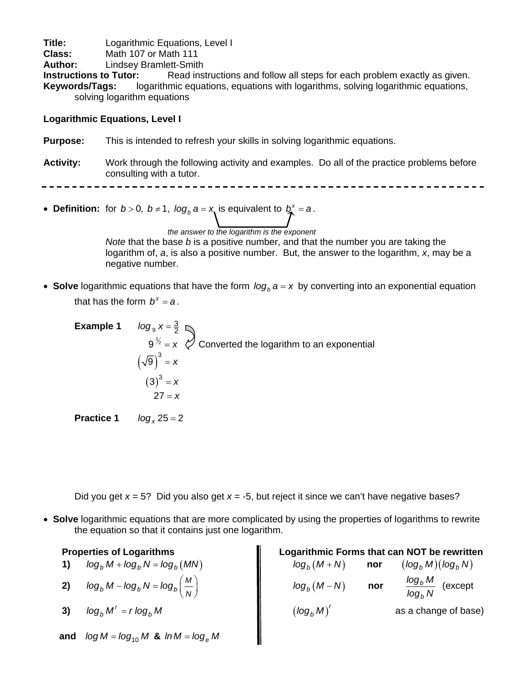**Title:** Logarithmic Equations, Level I<br> **Class:** Math 107 or Math 111

**Class:** Math 107 or Math 111<br>**Author:** Lindsey Bramlett-Smith

**Author:** Lindsey Bramlett-Smith

**Instructions to Tutor:** Read instructions and follow all steps for each problem exactly as given. **Keywords/Tags:** logarithmic equations, equations with logarithms, solving logarithmic equations, solving logarithm equations

## **Logarithmic Equations, Level I**

**Purpose:** This is intended to refresh your skills in solving logarithmic equations.

**Activity:** Work through the following activity and examples. Do all of the practice problems before consulting with a tutor.

• **Definition:** for  $b > 0$ ,  $b \ne 1$ ,  $\log_b a = x$  is equivalent to  $b^x = a$ .

*the answer to the logarithm is the exponent Note* that the base *b* is a positive number, and that the number you are taking the logarithm of, *a*, is also a positive number. But, the answer to the logarithm, *x*, may be a negative number.

• **Solve** logarithmic equations that have the form  $log_b a = x$  by converting into an exponential equation that has the form  $b^x = a$ .

**Example 1**  $log_9 x = \frac{3}{2}$  $9^{\frac{3}{2}} = x$   $\oslash$  Converted the logarithm to an exponential  $(\sqrt{9})^3 = x$  $(3)^3 = x$  $27 = x$ 

**Practice 1**  $log_x 25 = 2$ 

Did you get *x* = 5? Did you also get *x* = -5, but reject it since we can't have negative bases?

• **Solve** logarithmic equations that are more complicated by using the properties of logarithms to rewrite the equation so that it contains just one logarithm.

| Logarithmic Forms that can NOT be rewritten<br><b>Properties of Logarithms</b> |                                                            |  |
|--------------------------------------------------------------------------------|------------------------------------------------------------|--|
| $log_h M + log_h N = log_h (MN)$                                               | $log_b(M+N)$<br>$(log_h M)(log_h N)$<br>nor                |  |
| $log_b M - log_b N = log_b \left(\frac{M}{N}\right)$<br>2)                     | $\frac{\log_b M}{\log_b N}$ (except<br>$log_b(M-N)$<br>nor |  |
| $\log_h M^r = r \log_h M$<br>3)                                                | $(\log_h M)'$<br>as a change of base)                      |  |
| $log M = log_{10} M$ & $ln M = log_a M$<br>and                                 |                                                            |  |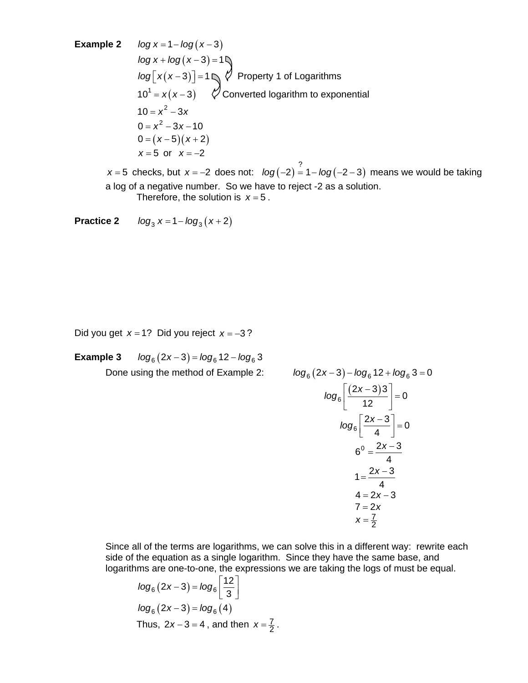**Example 2**  $log x = 1 - log(x - 3)$  $log x + log(x-3) = 1$ *log*  $\lfloor x(x-3) \rfloor = 1$   $\bigvee$  Property 1 of Logarithms  $10^1 = x(x-3)$   $\varphi$  Converted logarithm to exponential  $10 = x^2 - 3x$  $0 = x^2 - 3x - 10$  $0 = (x - 5)(x + 2)$ *x* = 5 or *x* = −2

*x* = 5 checks, but *x* = −2 does not:  $log(-2) = 1 - log(-2 - 3)$  means we would be taking a log of a negative number. So we have to reject -2 as a solution. Therefore, the solution is  $x = 5$ .

**Practice 2**  $log_3 x = 1 - log_3 (x + 2)$ 

Did you get *x* = 1? Did you reject *x* = −3 ?

**Example 3**  $log_6(2x-3) = log_6 12 - log_6 3$ Done using the method of Example 2: *log* 

$$
g_6(2x-3) - \log_6 12 + \log_6 3 = 0
$$
  
\n
$$
\log_6 \left[ \frac{(2x-3)3}{12} \right] = 0
$$
  
\n
$$
\log_6 \left[ \frac{2x-3}{4} \right] = 0
$$
  
\n
$$
6^0 = \frac{2x-3}{4}
$$
  
\n
$$
1 = \frac{2x-3}{4}
$$
  
\n
$$
4 = 2x-3
$$
  
\n
$$
7 = 2x
$$
  
\n
$$
x = \frac{7}{2}
$$

Since all of the terms are logarithms, we can solve this in a different way: rewrite each side of the equation as a single logarithm. Since they have the same base, and logarithms are one-to-one, the expressions we are taking the logs of must be equal.

$$
log_6 (2x-3) = log_6 \left[ \frac{12}{3} \right]
$$
  
\n $log_6 (2x-3) = log_6 (4)$   
\nThus,  $2x-3 = 4$ , and then  $x = \frac{7}{2}$ .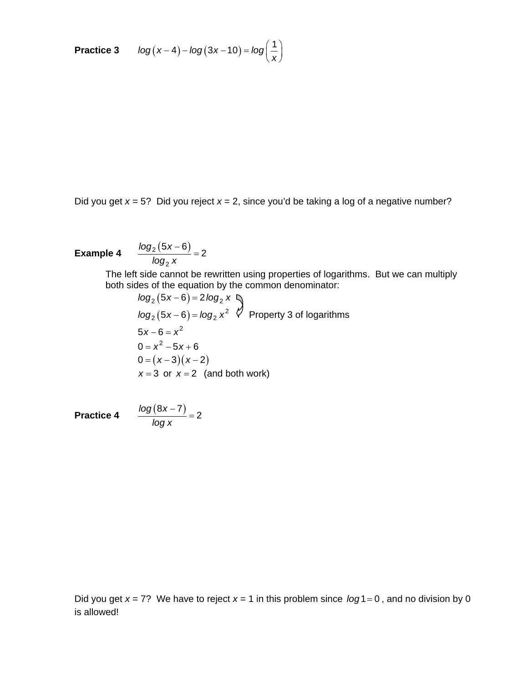**Practice 3**  $log(x-4) - log(3x-10) = log(\frac{1}{x})$  $(a-4) - log(3x - 10) = log(\frac{1}{x})$ 

Did you get *x* = 5? Did you reject *x* = 2, since you'd be taking a log of a negative number?

**Example 4**  $log_2(5x-6)$ 2  $\frac{\log_2(5x-6)}{1}$  = 2 *log x*  $\frac{-6)}{2}$  =

The left side cannot be rewritten using properties of logarithms. But we can multiply both sides of the equation by the common denominator:

 $log_2(5x-6) = 2 log_2 x$  $log_2(5x-6) = log_2 x^2$   $\sqrt{7}$  Property 3 of logarithms  $5x - 6 = x^2$  $0 = x^2 - 5x + 6$  $0 = (x-3)(x-2)$  $x = 3$  or  $x = 2$  (and both work)

**Practice 4**  $log(8x-7)$  = 2 *log x*  $\frac{-7)}{2}$  =

Did you get  $x = 7$ ? We have to reject  $x = 1$  in this problem since  $log 1 = 0$ , and no division by 0 is allowed!